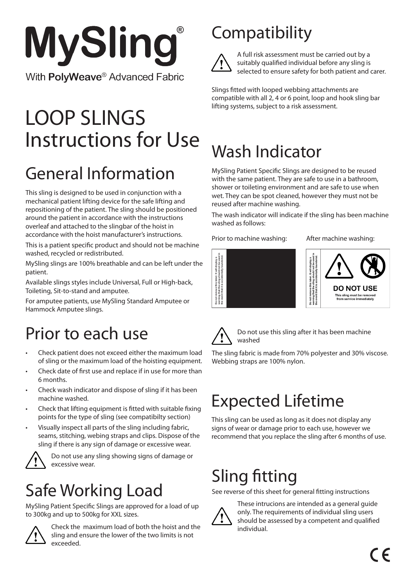

# Instructions for Use LOOP SLINGS

# General Information

This sling is designed to be used in conjunction with a mechanical patient lifting device for the safe lifting and repositioning of the patient. The sling should be positioned around the patient in accordance with the instructions overleaf and attached to the slingbar of the hoist in accordance with the hoist manufacturer's instructions.

This is a patient specific product and should not be machine washed, recycled or redistributed.

MySling slings are 100% breathable and can be left under the patient.

Available slings styles include Universal, Full or High-back, Toileting, Sit-to-stand and amputee.

For amputee patients, use MySling Standard Amputee or Hammock Amputee slings.

#### Prior to each use

- Check patient does not exceed either the maximum load of sling or the maximum load of the hoisting equipment.
- Check date of first use and replace if in use for more than 6 months.
- Check wash indicator and dispose of sling if it has been machine washed.
- Check that lifting equipment is fitted with suitable fixing points for the type of sling (see compatibilty section)
- Visually inspect all parts of the sling including fabric, seams, stitching, webing straps and clips. Dispose of the sling if there is any sign of damage or excessive wear.



Do not use any sling showing signs of damage or excessive wear.

### Safe Working Load

MySling Patient Specific Slings are approved for a load of up to 300kg and up to 500kg for XXL sizes.



Check the maximum load of both the hoist and the sling and ensure the lower of the two limits is not exceeded.

### **Compatibility**



A full risk assessment must be carried out by a suitably qualified individual before any sling is selected to ensure safety for both patient and carer.

Slings fitted with looped webbing attachments are compatible with all 2, 4 or 6 point, loop and hook sling bar lifting systems, subject to a risk assessment.

## Wash Indicator

MySling Patient Specific Slings are designed to be reused with the same patient. They are safe to use in a bathroom, shower or toileting environment and are safe to use when wet. They can be spot cleaned, however they must not be reused after machine washing.

The wash indicator will indicate if the sling has been machine washed as follows:

Prior to machine washing: After machine washing:







Do not use this sling after it has been machine washed

The sling fabric is made from 70% polyester and 30% viscose.

### Expected Lifetime

This sling can be used as long as it does not display any signs of wear or damage prior to each use, however we recommend that you replace the sling after 6 months of use.

### Sling fitting

See reverse of this sheet for general fitting instructions



These intrucions are intended as a general guide only. The requirements of individual sling users should be assessed by a competent and qualified individual.